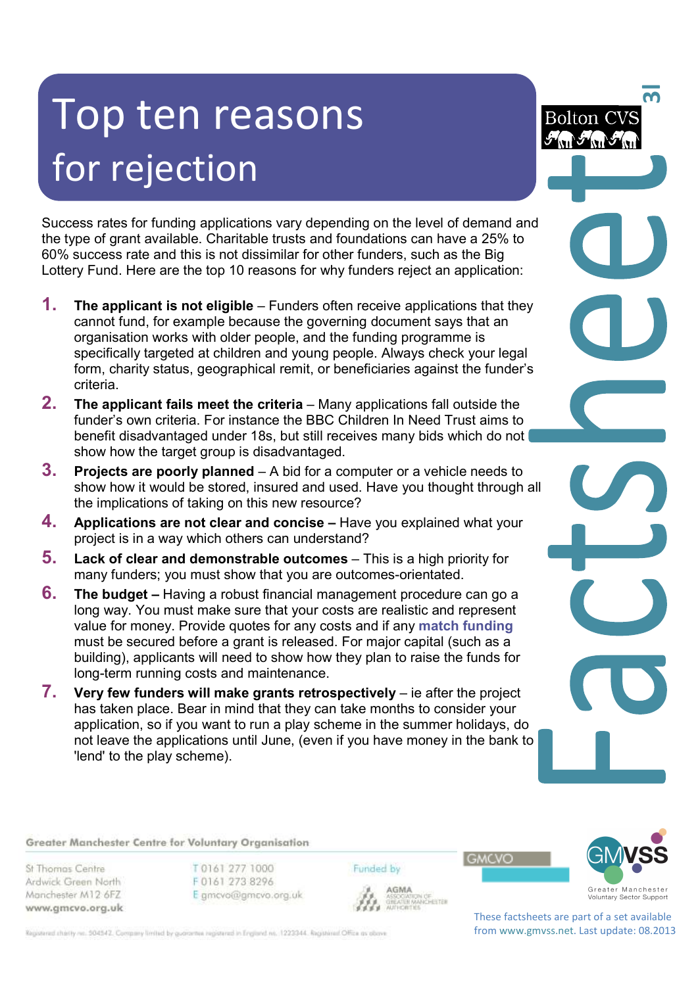# Top ten reasons for rejection

Success rates for funding applications vary depending on the level of demand and the type of grant available. Charitable trusts and foundations can have a 25% to 60% success rate and this is not dissimilar for other funders, such as the Big Lottery Fund. Here are the top 10 reasons for why funders reject an application:

- **1.** The applicant is not eligible Funders often receive applications that they cannot fund, for example because the governing document says that an organisation works with older people, and the funding programme is specifically targeted at children and young people. Always check your legal form, charity status, geographical remit, or beneficiaries against the funder's criteria.
- **2. The applicant fails meet the criteria** Many applications fall outside the funder's own criteria. For instance the BBC Children In Need Trust aims to benefit disadvantaged under 18s, but still receives many bids which do not show how the target group is disadvantaged.
- **3. Projects are poorly planned**  A bid for a computer or a vehicle needs to show how it would be stored, insured and used. Have you thought through all the implications of taking on this new resource?
- **4. Applications are not clear and concise –** Have you explained what your project is in a way which others can understand?
- **5.** Lack of clear and demonstrable outcomes This is a high priority for many funders; you must show that you are outcomes-orientated.
- **6. The budget** Having a robust financial management procedure can go a long way. You must make sure that your costs are realistic and represent value for money. Provide quotes for any costs and if any **match funding** must be secured before a grant is released. For major capital (such as a building), applicants will need to show how they plan to raise the funds for long-term running costs and maintenance.
- **7. Very few funders will make grants retrospectively** ie after the project has taken place. Bear in mind that they can take months to consider your application, so if you want to run a play scheme in the summer holidays, do not leave the applications until June, (even if you have money in the bank to 'lend' to the play scheme).

 $\overline{\mathbf{S}}$ 

**Bolton CVS** 

Greater Manchester Centre for Voluntary Organisation

St Thomas Centre Ardwick Green North Manchester M12 6FZ www.gmcvo.org.uk T0161 277 1000 F0161 273 8296 E gmcvo@gmcvo.org.uk Funded by



AGMA **AGMA**<br>ASSOCIATION OF<br>GREATER MANCHESTER<br>AUTHORITIES **GMCVO** 

Registered charity no. 504542. Company limited by guarantee registered in England no. 1223344. Registered Office as obove

These factsheets are part of a set available from www.gmvss.net. Last update: 08.2013